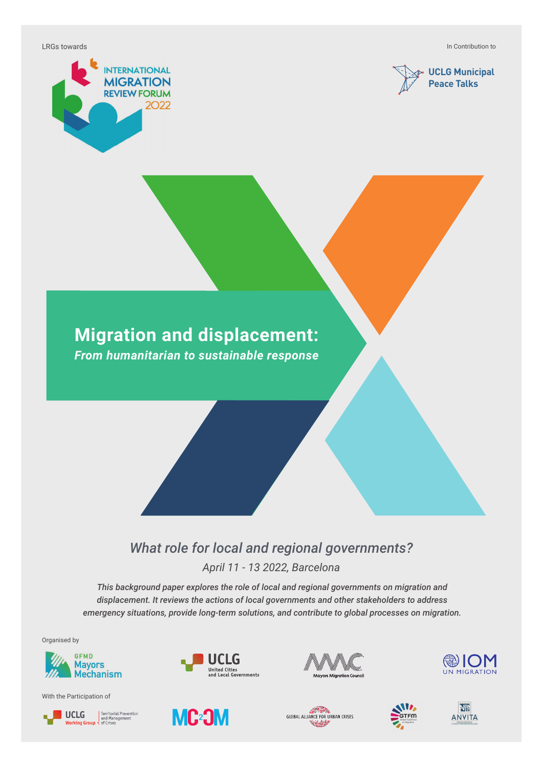LRGs towards

In Contribution to





# **Migration and displacement:**

*From humanitarian to sustainable response*

#### *What role for local and regional governments? April 11 - 13 2022, Barcelona*

*This background paper explores the role of local and regional governments on migration and displacement. It reviews the actions of local governments and other stakeholders to address emergency situations, provide long-term solutions, and contribute to global processes on migration.*

Organised by



With the Participation of





UCLG











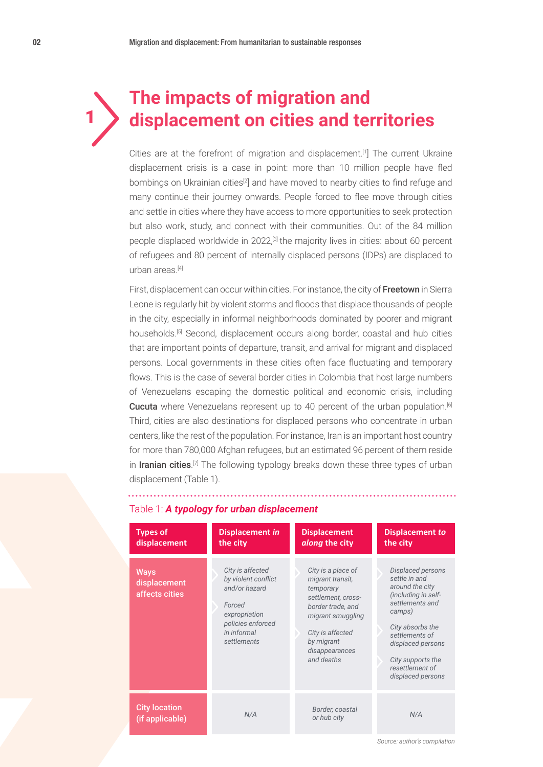# **The impacts of migration and**  1 **displacement on cities and territories**

Cities are at the forefront of migration and displacement.<sup>[1]</sup> The current Ukraine displacement crisis is a case in point: more than 10 million people have fled bombings on Ukrainian cities<sup>[2]</sup> and have moved to nearby cities to find refuge and many continue their journey onwards. People forced to flee move through cities and settle in cities where they have access to more opportunities to seek protection but also work, study, and connect with their communities. Out of the 84 million people displaced worldwide in 2022,<sup>[3]</sup> the majority lives in cities: about 60 percent of refugees and 80 percent of internally displaced persons (IDPs) are displaced to urban areas $[4]$ 

First, displacement can occur within cities. For instance, the city of Freetown in Sierra Leone is regularly hit by violent storms and floods that displace thousands of people in the city, especially in informal neighborhoods dominated by poorer and migrant households.<sup>[5]</sup> Second, displacement occurs along border, coastal and hub cities that are important points of departure, transit, and arrival for migrant and displaced persons. Local governments in these cities often face fluctuating and temporary flows. This is the case of several border cities in Colombia that host large numbers of Venezuelans escaping the domestic political and economic crisis, including Cucuta where Venezuelans represent up to 40 percent of the urban population.<sup>[6]</sup> Third, cities are also destinations for displaced persons who concentrate in urban centers, like the rest of the population. For instance, Iran is an important host country for more than 780,000 Afghan refugees, but an estimated 96 percent of them reside in Iranian cities.<sup>[7]</sup> The following typology breaks down these three types of urban displacement (Table 1).

| <b>Types of</b><br>displacement               | <b>Displacement in</b><br>the city                                                                                                     | <b>Displacement</b><br>along the city                                                                                                                                                 | <b>Displacement to</b><br>the city                                                                                                                                                                                                |
|-----------------------------------------------|----------------------------------------------------------------------------------------------------------------------------------------|---------------------------------------------------------------------------------------------------------------------------------------------------------------------------------------|-----------------------------------------------------------------------------------------------------------------------------------------------------------------------------------------------------------------------------------|
| <b>Ways</b><br>displacement<br>affects cities | City is affected<br>by violent conflict<br>and/or hazard<br>Forced<br>expropriation<br>policies enforced<br>in informal<br>settlements | City is a place of<br>migrant transit,<br>temporary<br>settlement, cross-<br>border trade, and<br>migrant smuggling<br>City is affected<br>by migrant<br>disappearances<br>and deaths | Displaced persons<br>settle in and<br>around the city<br>(including in self-<br>settlements and<br>camps)<br>City absorbs the<br>settlements of<br>displaced persons<br>City supports the<br>resettlement of<br>displaced persons |
| <b>City location</b><br>(if applicable)       | N/A                                                                                                                                    | Border, coastal<br>or hub city                                                                                                                                                        | N/A                                                                                                                                                                                                                               |

#### Table 1: *A typology for urban displacement*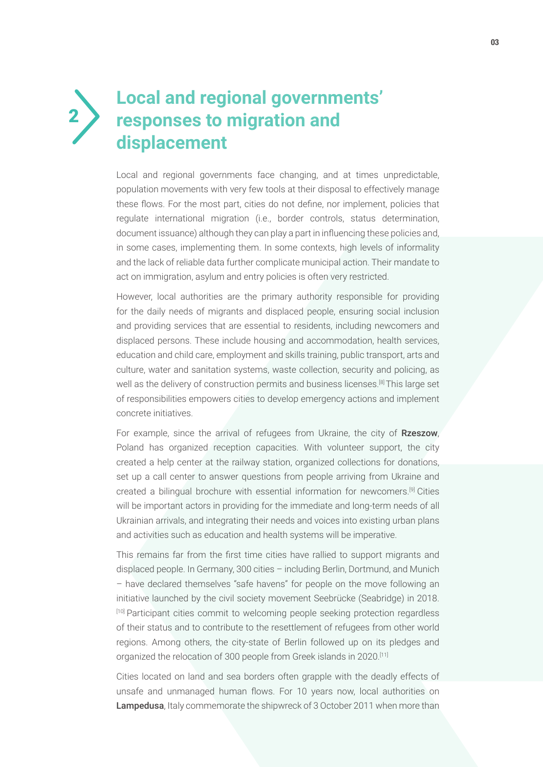# **Local and regional governments' responses to migration and displacement**

2

Local and regional governments face changing, and at times unpredictable, population movements with very few tools at their disposal to effectively manage these flows. For the most part, cities do not define, nor implement, policies that regulate international migration (i.e., border controls, status determination, document issuance) although they can play a part in influencing these policies and, in some cases, implementing them. In some contexts, high levels of informality and the lack of reliable data further complicate municipal action. Their mandate to act on immigration, asylum and entry policies is often very restricted.

However, local authorities are the primary authority responsible for providing for the daily needs of migrants and displaced people, ensuring social inclusion and providing services that are essential to residents, including newcomers and displaced persons. These include housing and accommodation, health services, education and child care, employment and skills training, public transport, arts and culture, water and sanitation systems, waste collection, security and policing, as well as the delivery of construction permits and business licenses.[8] This large set of responsibilities empowers cities to develop emergency actions and implement concrete initiatives.

For example, since the arrival of refugees from Ukraine, the city of Rzeszow, Poland has organized reception capacities. With volunteer support, the city created a help center at the railway station, organized collections for donations, set up a call center to answer questions from people arriving from Ukraine and created a bilingual brochure with essential information for newcomers.[9] Cities will be important actors in providing for the immediate and long-term needs of all Ukrainian arrivals, and integrating their needs and voices into existing urban plans and activities such as education and health systems will be imperative.

This remains far from the first time cities have rallied to support migrants and displaced people. In Germany, 300 cities – including Berlin, Dortmund, and Munich – have declared themselves "safe havens" for people on the move following an initiative launched by the civil society movement Seebrücke (Seabridge) in 2018. [10] Participant cities commit to welcoming people seeking protection regardless of their status and to contribute to the resettlement of refugees from other world regions. Among others, the city-state of Berlin followed up on its pledges and organized the relocation of 300 people from Greek islands in 2020.[11]

Cities located on land and sea borders often grapple with the deadly effects of unsafe and unmanaged human flows. For 10 years now, local authorities on Lampedusa, Italy commemorate the shipwreck of 3 October 2011 when more than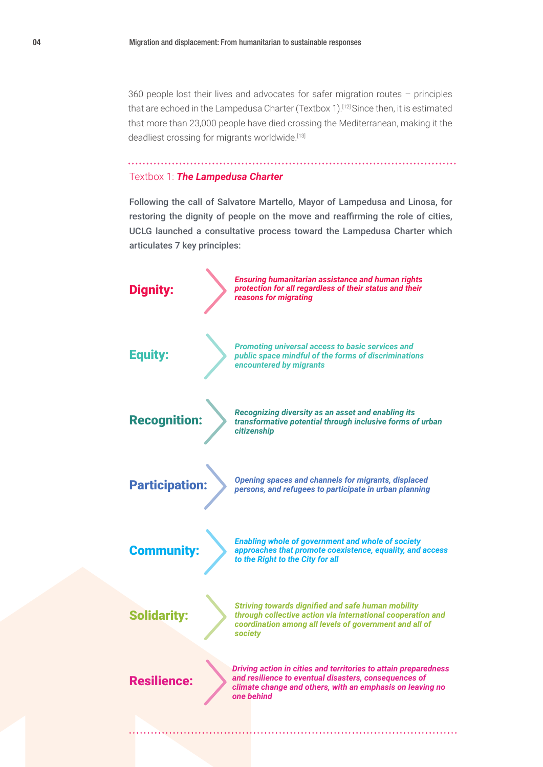360 people lost their lives and advocates for safer migration routes – principles that are echoed in the Lampedusa Charter (Textbox 1).<sup>[12]</sup> Since then, it is estimated that more than 23,000 people have died crossing the Mediterranean, making it the deadliest crossing for migrants worldwide.[13]

#### Textbox 1: *The Lampedusa Charter*

Following the call of Salvatore Martello, Mayor of Lampedusa and Linosa, for restoring the dignity of people on the move and reaffirming the role of cities, UCLG launched a consultative process toward the Lampedusa Charter which articulates 7 key principles:

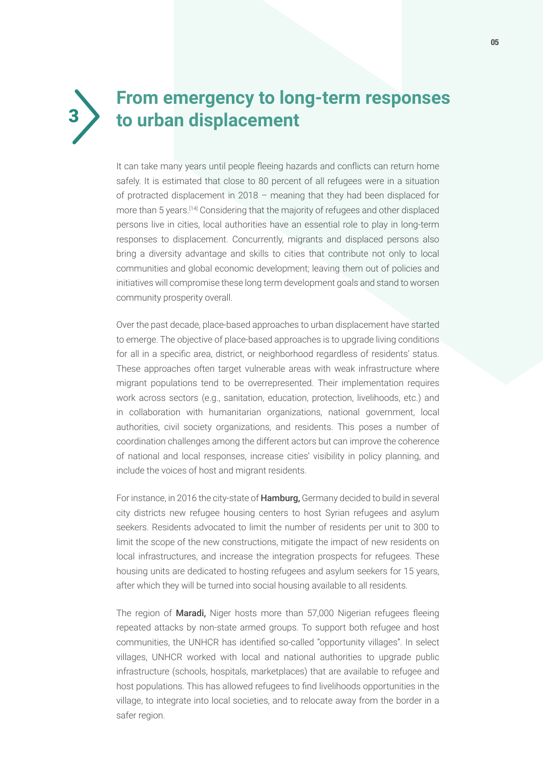![](_page_4_Figure_0.jpeg)

## **From emergency to long-term responses**  3 **to urban displacement**

It can take many years until people fleeing hazards and conflicts can return home safely. It is estimated that close to 80 percent of all refugees were in a situation of protracted displacement in 2018 – meaning that they had been displaced for more than 5 years.[14] Considering that the majority of refugees and other displaced persons live in cities, local authorities have an essential role to play in long-term responses to displacement. Concurrently, migrants and displaced persons also bring a diversity advantage and skills to cities that contribute not only to local communities and global economic development; leaving them out of policies and initiatives will compromise these long term development goals and stand to worsen community prosperity overall.

Over the past decade, place-based approaches to urban displacement have started to emerge. The objective of place-based approaches is to upgrade living conditions for all in a specific area, district, or neighborhood regardless of residents' status. These approaches often target vulnerable areas with weak infrastructure where migrant populations tend to be overrepresented. Their implementation requires work across sectors (e.g., sanitation, education, protection, livelihoods, etc.) and in collaboration with humanitarian organizations, national government, local authorities, civil society organizations, and residents. This poses a number of coordination challenges among the different actors but can improve the coherence of national and local responses, increase cities' visibility in policy planning, and include the voices of host and migrant residents.

For instance, in 2016 the city-state of **Hamburg**, Germany decided to build in several city districts new refugee housing centers to host Syrian refugees and asylum seekers. Residents advocated to limit the number of residents per unit to 300 to limit the scope of the new constructions, mitigate the impact of new residents on local infrastructures, and increase the integration prospects for refugees. These housing units are dedicated to hosting refugees and asylum seekers for 15 years, after which they will be turned into social housing available to all residents.

The region of **Maradi**, Niger hosts more than 57,000 Nigerian refugees fleeing repeated attacks by non-state armed groups. To support both refugee and host communities, the UNHCR has identified so-called "opportunity villages". In select villages, UNHCR worked with local and national authorities to upgrade public infrastructure (schools, hospitals, marketplaces) that are available to refugee and host populations. This has allowed refugees to find livelihoods opportunities in the village, to integrate into local societies, and to relocate away from the border in a safer region.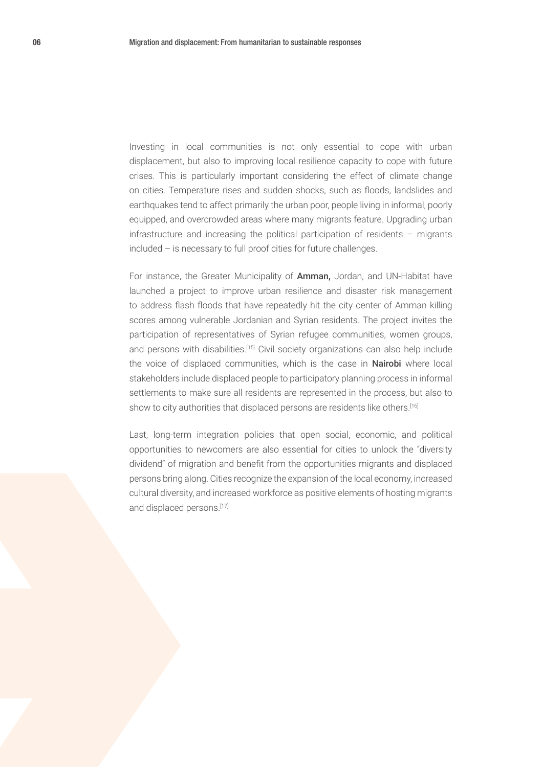Investing in local communities is not only essential to cope with urban displacement, but also to improving local resilience capacity to cope with future crises. This is particularly important considering the effect of climate change on cities. Temperature rises and sudden shocks, such as floods, landslides and earthquakes tend to affect primarily the urban poor, people living in informal, poorly equipped, and overcrowded areas where many migrants feature. Upgrading urban infrastructure and increasing the political participation of residents – migrants included – is necessary to full proof cities for future challenges.

For instance, the Greater Municipality of Amman, Jordan, and UN-Habitat have launched a project to improve urban resilience and disaster risk management to address flash floods that have repeatedly hit the city center of Amman killing scores among vulnerable Jordanian and Syrian residents. The project invites the participation of representatives of Syrian refugee communities, women groups, and persons with disabilities.<sup>[15]</sup> Civil society organizations can also help include the voice of displaced communities, which is the case in **Nairobi** where local stakeholders include displaced people to participatory planning process in informal settlements to make sure all residents are represented in the process, but also to show to city authorities that displaced persons are residents like others.<sup>[16]</sup>

Last, long-term integration policies that open social, economic, and political opportunities to newcomers are also essential for cities to unlock the "diversity dividend" of migration and benefit from the opportunities migrants and displaced persons bring along. Cities recognize the expansion of the local economy, increased cultural diversity, and increased workforce as positive elements of hosting migrants and displaced persons.[17]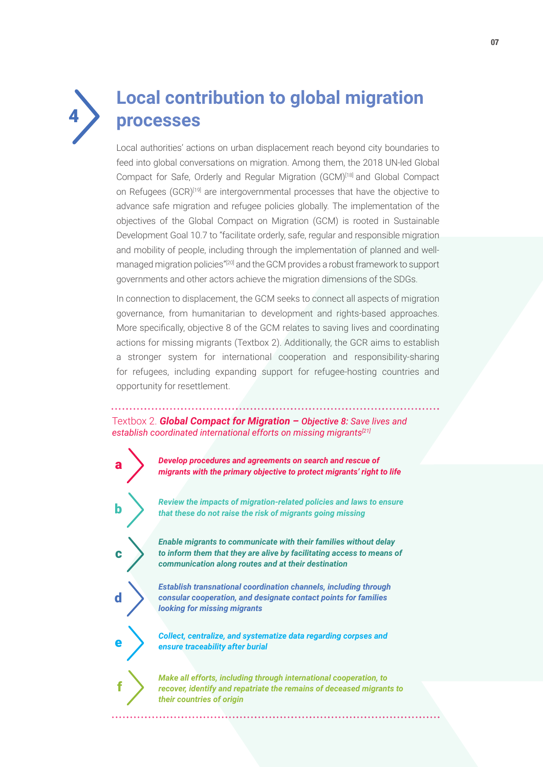![](_page_6_Picture_0.jpeg)

## **Local contribution to global migration processes**

Local authorities' actions on urban displacement reach beyond city boundaries to feed into global conversations on migration. Among them, the 2018 UN-led Global Compact for Safe, Orderly and Regular Migration (GCM)<sup>[18]</sup> and Global Compact on Refugees (GCR)<sup>[19]</sup> are intergovernmental processes that have the objective to advance safe migration and refugee policies globally. The implementation of the objectives of the Global Compact on Migration (GCM) is rooted in Sustainable Development Goal 10.7 to "facilitate orderly, safe, regular and responsible migration and mobility of people, including through the implementation of planned and wellmanaged migration policies"<sup>[20]</sup> and the GCM provides a robust framework to support governments and other actors achieve the migration dimensions of the SDGs.

In connection to displacement, the GCM seeks to connect all aspects of migration governance, from humanitarian to development and rights-based approaches. More specifically, objective 8 of the GCM relates to saving lives and coordinating actions for missing migrants (Textbox 2). Additionally, the GCR aims to establish a stronger system for international cooperation and responsibility-sharing for refugees, including expanding support for refugee-hosting countries and opportunity for resettlement.

Textbox 2. *Global Compact for Migration – Objective 8: Save lives and establish coordinated international efforts on missing migrants[21]*

![](_page_6_Figure_5.jpeg)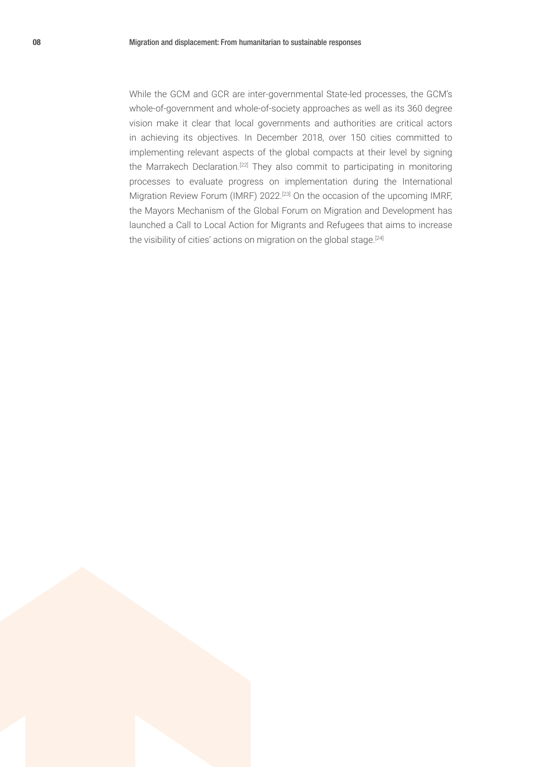While the GCM and GCR are inter-governmental State-led processes, the GCM's whole-of-government and whole-of-society approaches as well as its 360 degree vision make it clear that local governments and authorities are critical actors in achieving its objectives. In December 2018, over 150 cities committed to implementing relevant aspects of the global compacts at their level by signing the Marrakech Declaration.<sup>[22]</sup> They also commit to participating in monitoring processes to evaluate progress on implementation during the International Migration Review Forum (IMRF) 2022.[23] On the occasion of the upcoming IMRF, the Mayors Mechanism of the Global Forum on Migration and Development has launched a Call to Local Action for Migrants and Refugees that aims to increase the visibility of cities' actions on migration on the global stage.<sup>[24]</sup>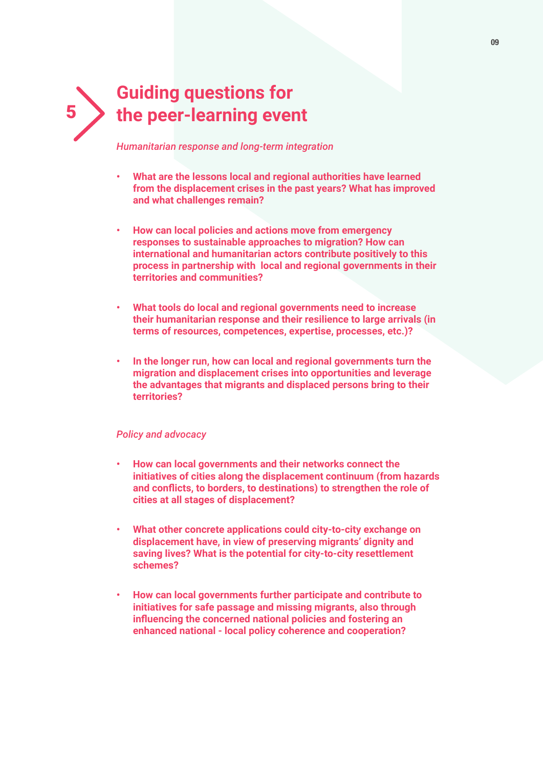# **Guiding questions for**  5 **the peer-learning event**

*Humanitarian response and long-term integration*

- **• What are the lessons local and regional authorities have learned from the displacement crises in the past years? What has improved and what challenges remain?**
- **• How can local policies and actions move from emergency responses to sustainable approaches to migration? How can international and humanitarian actors contribute positively to this process in partnership with local and regional governments in their territories and communities?**
- **• What tools do local and regional governments need to increase their humanitarian response and their resilience to large arrivals (in terms of resources, competences, expertise, processes, etc.)?**
- **• In the longer run, how can local and regional governments turn the migration and displacement crises into opportunities and leverage the advantages that migrants and displaced persons bring to their territories?**

#### *Policy and advocacy*

- **• How can local governments and their networks connect the initiatives of cities along the displacement continuum (from hazards and conflicts, to borders, to destinations) to strengthen the role of cities at all stages of displacement?**
- **• What other concrete applications could city-to-city exchange on displacement have, in view of preserving migrants' dignity and saving lives? What is the potential for city-to-city resettlement schemes?**
- **• How can local governments further participate and contribute to initiatives for safe passage and missing migrants, also through influencing the concerned national policies and fostering an enhanced national - local policy coherence and cooperation?**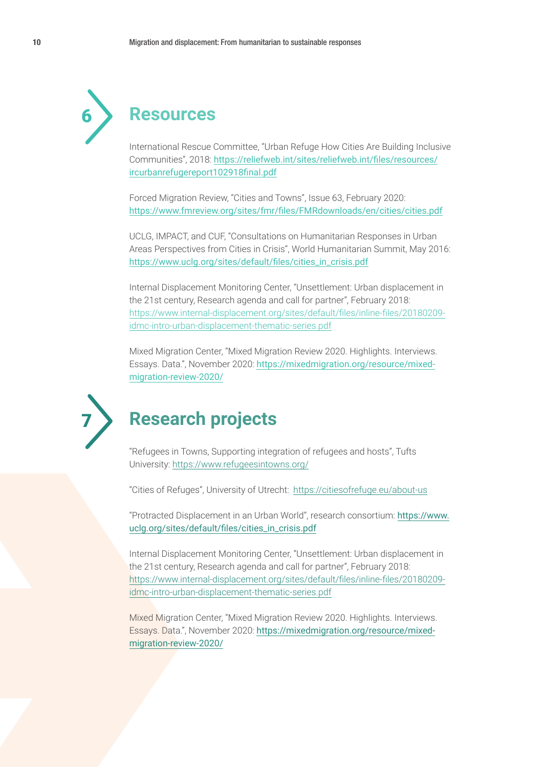![](_page_9_Picture_1.jpeg)

### 6 **Resources**

International Rescue Committee, "Urban Refuge How Cities Are Building Inclusive Communities", 2018: https://reliefweb.int/sites/reliefweb.int/files/resources/ ircurbanrefugereport102918final.pdf

Forced Migration Review, "Cities and Towns", Issue 63, February 2020: https://www.fmreview.org/sites/fmr/files/FMRdownloads/en/cities/cities.pdf

UCLG, IMPACT, and CUF, "Consultations on Humanitarian Responses in Urban Areas Perspectives from Cities in Crisis", World Humanitarian Summit, May 2016: https://www.uclg.org/sites/default/files/cities\_in\_crisis.pdf

Internal Displacement Monitoring Center, "Unsettlement: Urban displacement in the 21st century, Research agenda and call for partner", February 2018: https://www.internal-displacement.org/sites/default/files/inline-files/20180209 idmc-intro-urban-displacement-thematic-series.pdf

Mixed Migration Center, "Mixed Migration Review 2020. Highlights. Interviews. Essays. Data.", November 2020: https://mixedmigration.org/resource/mixedmigration-review-2020/

![](_page_9_Picture_8.jpeg)

### 7 **Research projects**

"Refugees in Towns, Supporting integration of refugees and hosts", Tufts University: https://www.refugeesintowns.org/

"Cities of Refuges", University of Utrecht: https://citiesofrefuge.eu/about-us

"Protracted Displacement in an Urban World", research consortium: https://www. uclg.org/sites/default/files/cities\_in\_crisis.pdf

Internal Displacement Monitoring Center, "Unsettlement: Urban displacement in the 21st century, Research agenda and call for partner", February 2018: https://www.internal-displacement.org/sites/default/files/inline-files/20180209 idmc-intro-urban-displacement-thematic-series.pdf

Mixed Migration Center, "Mixed Migration Review 2020. Highlights. Interviews. Essays. Data.", November 2020: https://mixedmigration.org/resource/mixedmigration-review-2020/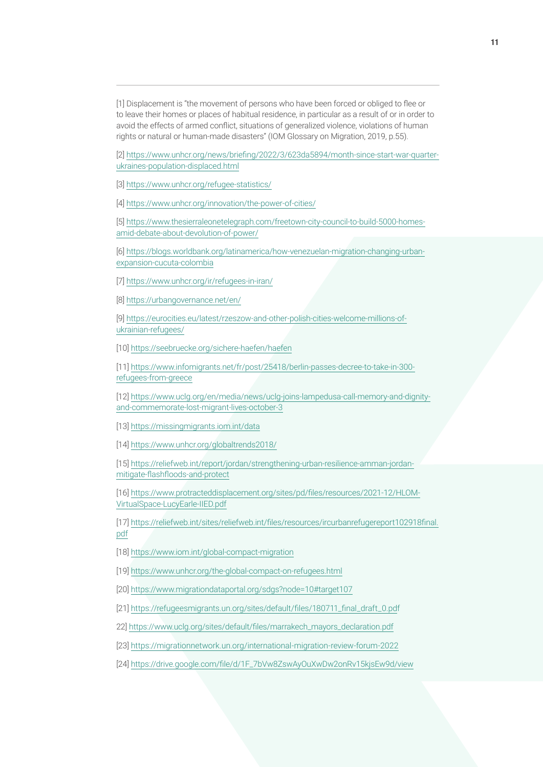[1] Displacement is "the movement of persons who have been forced or obliged to flee or to leave their homes or places of habitual residence, in particular as a result of or in order to avoid the effects of armed conflict, situations of generalized violence, violations of human rights or natural or human‐made disasters" (IOM Glossary on Migration, 2019, p.55).

[2] https://www.unhcr.org/news/briefing/2022/3/623da5894/month-since-start-war-quarterukraines-population-displaced.html

[3] https://www.unhcr.org/refugee-statistics/

[4] https://www.unhcr.org/innovation/the-power-of-cities/

[5] https://www.thesierraleonetelegraph.com/freetown-city-council-to-build-5000-homesamid-debate-about-devolution-of-power/

[6] https://blogs.worldbank.org/latinamerica/how-venezuelan-migration-changing-urbanexpansion-cucuta-colombia

[7] https://www.unhcr.org/ir/refugees-in-iran/

[8] https://urbangovernance.net/en/

[9] https://eurocities.eu/latest/rzeszow-and-other-polish-cities-welcome-millions-ofukrainian-refugees/

[10] https://seebruecke.org/sichere-haefen/haefen

[11] https://www.infomigrants.net/fr/post/25418/berlin-passes-decree-to-take-in-300 refugees-from-greece

[12] https://www.uclg.org/en/media/news/uclg-joins-lampedusa-call-memory-and-dignityand-commemorate-lost-migrant-lives-october-3

[13] https://missingmigrants.iom.int/data

[14] https://www.unhcr.org/globaltrends2018/

[15] https://reliefweb.int/report/jordan/strengthening-urban-resilience-amman-jordanmitigate-flashfloods-and-protect

[16] https://www.protracteddisplacement.org/sites/pd/files/resources/2021-12/HLOM-VirtualSpace-LucyEarle-IIED.pdf

[17] https://reliefweb.int/sites/reliefweb.int/files/resources/ircurbanrefugereport102918final. pdf

[18] https://www.iom.int/global-compact-migration

[19] https://www.unhcr.org/the-global-compact-on-refugees.html

[20] https://www.migrationdataportal.org/sdgs?node=10#target107

[21] https://refugeesmigrants.un.org/sites/default/files/180711\_final\_draft\_0.pdf

22] https://www.uclg.org/sites/default/files/marrakech\_mayors\_declaration.pdf

[23] https://migrationnetwork.un.org/international-migration-review-forum-2022

[24] https://drive.google.com/file/d/1F\_7bVw8ZswAyOuXwDw2onRv15kjsEw9d/view